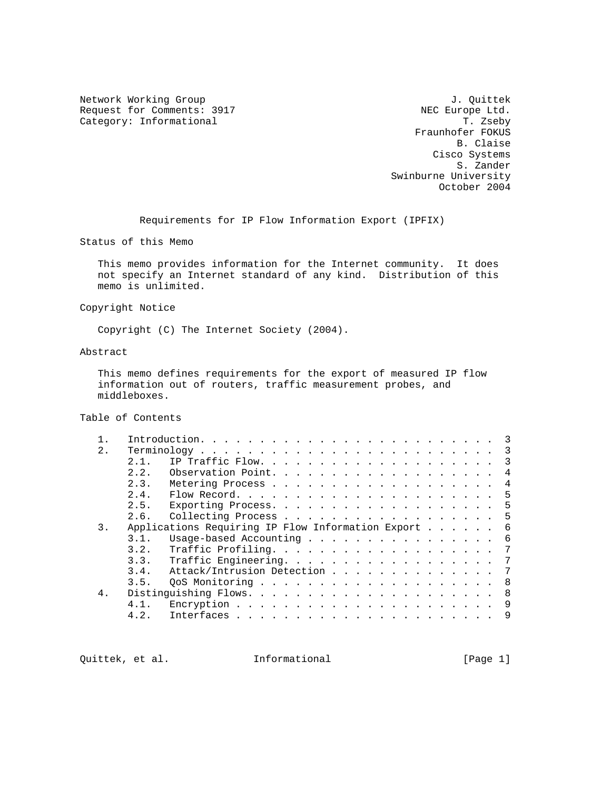Network Working Group J. Quittek Request for Comments: 3917 NEC Europe Ltd.<br>
Category: Informational T. Zseby Category: Informational

 Fraunhofer FOKUS B. Claise Cisco Systems S. Zander Swinburne University October 2004

Requirements for IP Flow Information Export (IPFIX)

Status of this Memo

 This memo provides information for the Internet community. It does not specify an Internet standard of any kind. Distribution of this memo is unlimited.

Copyright Notice

Copyright (C) The Internet Society (2004).

Abstract

 This memo defines requirements for the export of measured IP flow information out of routers, traffic measurement probes, and middleboxes.

Table of Contents

|    |                                                   |                            |  |  |  |  |  |  |  |  |  |  | $\overline{\mathbf{3}}$ |
|----|---------------------------------------------------|----------------------------|--|--|--|--|--|--|--|--|--|--|-------------------------|
| 2. |                                                   |                            |  |  |  |  |  |  |  |  |  |  | $\overline{\mathbf{3}}$ |
|    | 2.1.                                              |                            |  |  |  |  |  |  |  |  |  |  | $\overline{\mathbf{3}}$ |
|    | 2.2.                                              | Observation Point.         |  |  |  |  |  |  |  |  |  |  | 4                       |
|    | 2.3.                                              |                            |  |  |  |  |  |  |  |  |  |  | 4                       |
|    | 2.4.                                              |                            |  |  |  |  |  |  |  |  |  |  | -5                      |
|    | 2.5.                                              |                            |  |  |  |  |  |  |  |  |  |  | -5                      |
|    | 2.6.                                              | Collecting Process 5       |  |  |  |  |  |  |  |  |  |  |                         |
| 3. | Applications Requiring IP Flow Information Export |                            |  |  |  |  |  |  |  |  |  |  | - 6                     |
|    | 3.1.                                              | Usage-based Accounting 6   |  |  |  |  |  |  |  |  |  |  |                         |
|    | 3.2.                                              | Traffic Profiling.         |  |  |  |  |  |  |  |  |  |  | 7                       |
|    | 3.3.                                              | Traffic Engineering.       |  |  |  |  |  |  |  |  |  |  | $\overline{7}$          |
|    | 3.4.                                              | Attack/Intrusion Detection |  |  |  |  |  |  |  |  |  |  | 7                       |
|    | 3.5.                                              |                            |  |  |  |  |  |  |  |  |  |  | - 8                     |
| 4. |                                                   |                            |  |  |  |  |  |  |  |  |  |  | - 8                     |
|    | 4.1.                                              |                            |  |  |  |  |  |  |  |  |  |  | 9                       |
|    | 4.2.                                              |                            |  |  |  |  |  |  |  |  |  |  | -9                      |
|    |                                                   |                            |  |  |  |  |  |  |  |  |  |  |                         |

Quittek, et al. **Informational** [Page 1]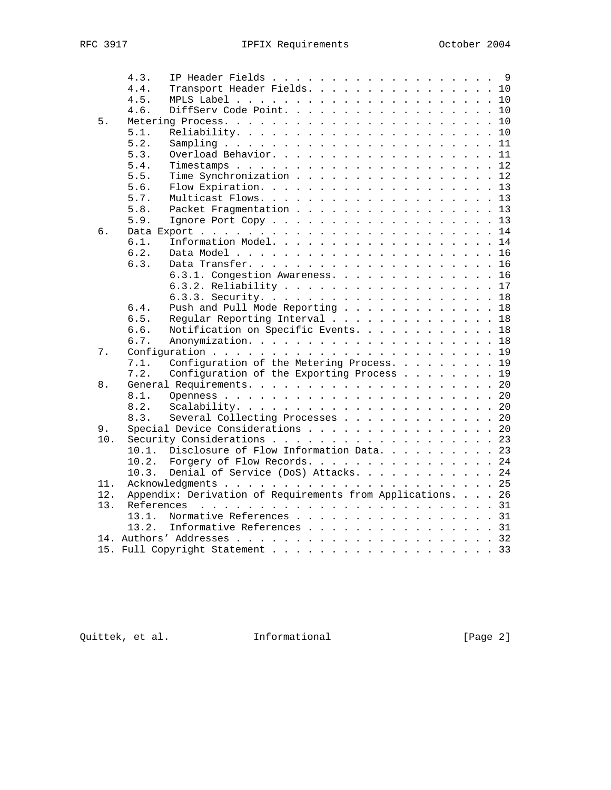|     | 4.3.       | IP Header Fields 9                                      |  |    |
|-----|------------|---------------------------------------------------------|--|----|
|     | 4.4.       | Transport Header Fields. 10                             |  |    |
|     | 4.5.       |                                                         |  |    |
|     | 4.6.       | DiffServ Code Point. 10                                 |  |    |
| 5.  |            |                                                         |  | 10 |
|     | 5.1.       |                                                         |  | 10 |
|     | 5.2.       |                                                         |  | 11 |
|     | 5.3.       |                                                         |  | 11 |
|     | 5.4.       |                                                         |  | 12 |
|     | 5.5.       | Time Synchronization                                    |  | 12 |
|     | 5.6.       |                                                         |  | 13 |
|     | 5.7.       |                                                         |  | 13 |
|     | 5.8.       | Packet Fragmentation                                    |  | 13 |
|     | 5.9.       | Ignore Port Copy 13                                     |  |    |
| б.  |            |                                                         |  | 14 |
|     | 6.1.       | Information Model.                                      |  | 14 |
|     | 6.2.       |                                                         |  | 16 |
|     | 6.3.       |                                                         |  | 16 |
|     |            | 6.3.1. Congestion Awareness.                            |  | 16 |
|     |            |                                                         |  | 17 |
|     |            |                                                         |  | 18 |
|     | 6.4.       | Push and Pull Mode Reporting                            |  | 18 |
|     | 6.5.       | Regular Reporting Interval                              |  | 18 |
|     | 6.6.       | Notification on Specific Events.                        |  | 18 |
|     | 6.7.       |                                                         |  |    |
| 7.  |            |                                                         |  | 19 |
|     | 7.1.       | Configuration of the Metering Process.                  |  | 19 |
|     | 7.2.       | Configuration of the Exporting Process                  |  | 19 |
| 8.  |            |                                                         |  | 20 |
|     | 8.1.       |                                                         |  | 20 |
|     | 8.2.       |                                                         |  | 20 |
|     | 8.3.       | Several Collecting Processes                            |  | 20 |
| 9.  |            | Special Device Considerations                           |  | 20 |
| 10. |            |                                                         |  | 23 |
|     | $10.1$ .   | Disclosure of Flow Information Data.                    |  | 23 |
|     | 10.2.      | Forgery of Flow Records.                                |  | 24 |
|     | 10.3.      | Denial of Service (DoS) Attacks. 24                     |  |    |
| 11. |            |                                                         |  | 25 |
| 12. |            | Appendix: Derivation of Requirements from Applications. |  | 26 |
| 13. | References |                                                         |  |    |
|     | 13.1.      | Normative References 31                                 |  |    |
|     | 13.2.      | Informative References 31                               |  |    |
|     |            |                                                         |  | 32 |
|     |            | 15. Full Copyright Statement                            |  | 33 |
|     |            |                                                         |  |    |

Quittek, et al. 1nformational 1999 [Page 2]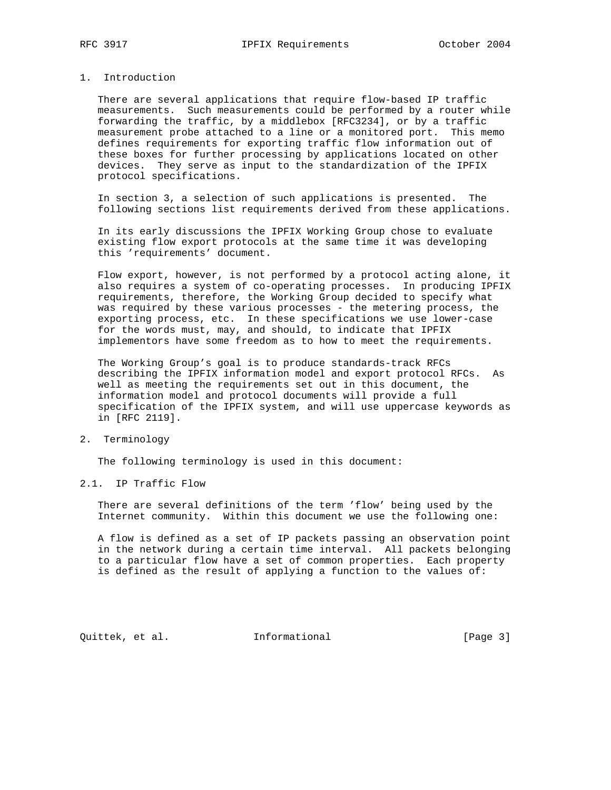### 1. Introduction

 There are several applications that require flow-based IP traffic measurements. Such measurements could be performed by a router while forwarding the traffic, by a middlebox [RFC3234], or by a traffic measurement probe attached to a line or a monitored port. This memo defines requirements for exporting traffic flow information out of these boxes for further processing by applications located on other devices. They serve as input to the standardization of the IPFIX protocol specifications.

 In section 3, a selection of such applications is presented. The following sections list requirements derived from these applications.

 In its early discussions the IPFIX Working Group chose to evaluate existing flow export protocols at the same time it was developing this 'requirements' document.

 Flow export, however, is not performed by a protocol acting alone, it also requires a system of co-operating processes. In producing IPFIX requirements, therefore, the Working Group decided to specify what was required by these various processes - the metering process, the exporting process, etc. In these specifications we use lower-case for the words must, may, and should, to indicate that IPFIX implementors have some freedom as to how to meet the requirements.

 The Working Group's goal is to produce standards-track RFCs describing the IPFIX information model and export protocol RFCs. As well as meeting the requirements set out in this document, the information model and protocol documents will provide a full specification of the IPFIX system, and will use uppercase keywords as in [RFC 2119].

# 2. Terminology

The following terminology is used in this document:

### 2.1. IP Traffic Flow

 There are several definitions of the term 'flow' being used by the Internet community. Within this document we use the following one:

 A flow is defined as a set of IP packets passing an observation point in the network during a certain time interval. All packets belonging to a particular flow have a set of common properties. Each property is defined as the result of applying a function to the values of:

Quittek, et al. **Informational** [Page 3]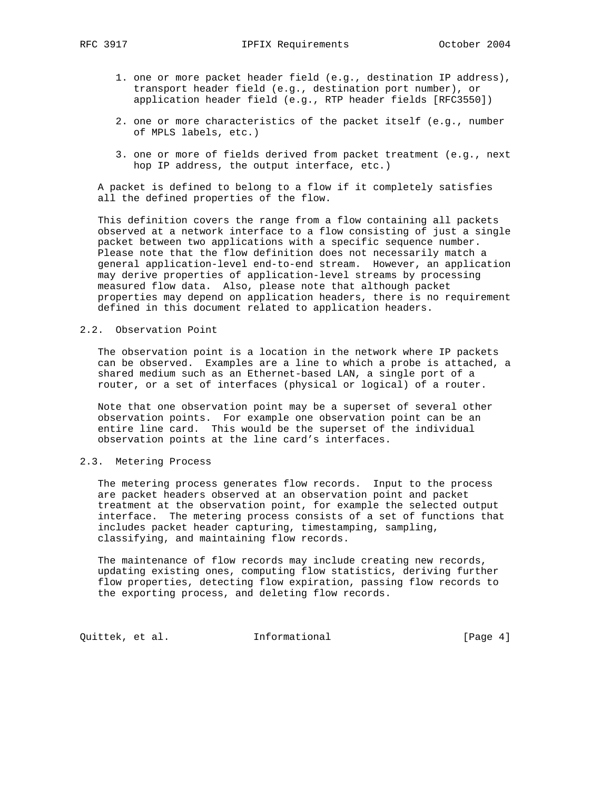- 1. one or more packet header field (e.g., destination IP address), transport header field (e.g., destination port number), or application header field (e.g., RTP header fields [RFC3550])
- 2. one or more characteristics of the packet itself (e.g., number of MPLS labels, etc.)
- 3. one or more of fields derived from packet treatment (e.g., next hop IP address, the output interface, etc.)

 A packet is defined to belong to a flow if it completely satisfies all the defined properties of the flow.

 This definition covers the range from a flow containing all packets observed at a network interface to a flow consisting of just a single packet between two applications with a specific sequence number. Please note that the flow definition does not necessarily match a general application-level end-to-end stream. However, an application may derive properties of application-level streams by processing measured flow data. Also, please note that although packet properties may depend on application headers, there is no requirement defined in this document related to application headers.

#### 2.2. Observation Point

 The observation point is a location in the network where IP packets can be observed. Examples are a line to which a probe is attached, a shared medium such as an Ethernet-based LAN, a single port of a router, or a set of interfaces (physical or logical) of a router.

 Note that one observation point may be a superset of several other observation points. For example one observation point can be an entire line card. This would be the superset of the individual observation points at the line card's interfaces.

### 2.3. Metering Process

 The metering process generates flow records. Input to the process are packet headers observed at an observation point and packet treatment at the observation point, for example the selected output interface. The metering process consists of a set of functions that includes packet header capturing, timestamping, sampling, classifying, and maintaining flow records.

 The maintenance of flow records may include creating new records, updating existing ones, computing flow statistics, deriving further flow properties, detecting flow expiration, passing flow records to the exporting process, and deleting flow records.

Quittek, et al. 1nformational 1999 [Page 4]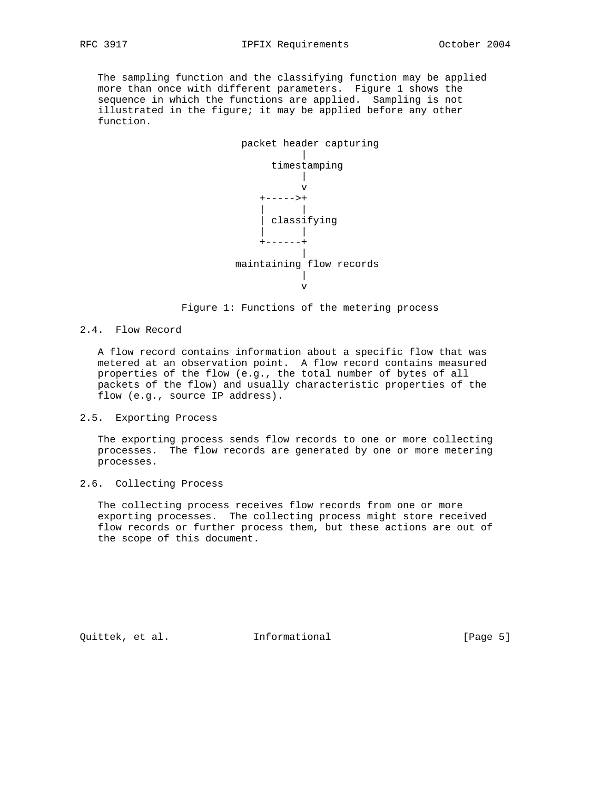The sampling function and the classifying function may be applied more than once with different parameters. Figure 1 shows the sequence in which the functions are applied. Sampling is not illustrated in the figure; it may be applied before any other function.



Figure 1: Functions of the metering process

### 2.4. Flow Record

 A flow record contains information about a specific flow that was metered at an observation point. A flow record contains measured properties of the flow (e.g., the total number of bytes of all packets of the flow) and usually characteristic properties of the flow (e.g., source IP address).

#### 2.5. Exporting Process

 The exporting process sends flow records to one or more collecting processes. The flow records are generated by one or more metering processes.

### 2.6. Collecting Process

 The collecting process receives flow records from one or more exporting processes. The collecting process might store received flow records or further process them, but these actions are out of the scope of this document.

Quittek, et al. **Informational** [Page 5]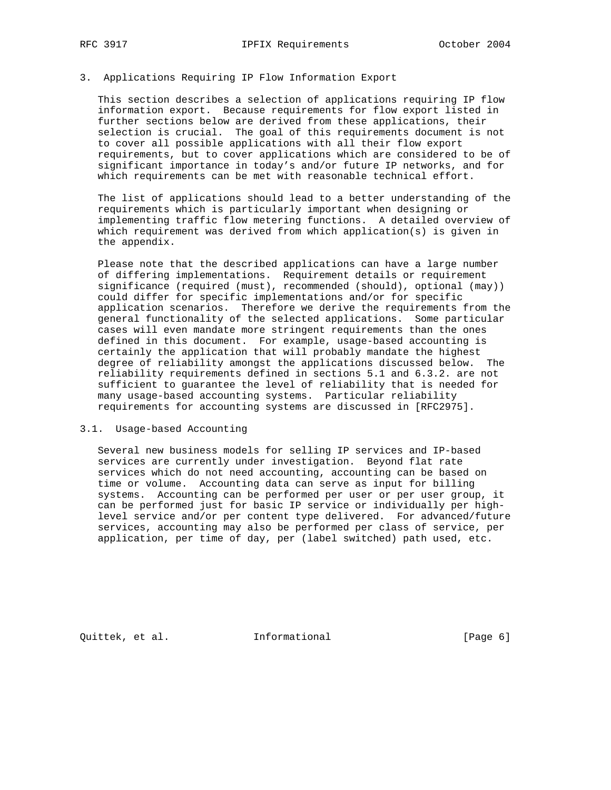# 3. Applications Requiring IP Flow Information Export

 This section describes a selection of applications requiring IP flow information export. Because requirements for flow export listed in further sections below are derived from these applications, their selection is crucial. The goal of this requirements document is not to cover all possible applications with all their flow export requirements, but to cover applications which are considered to be of significant importance in today's and/or future IP networks, and for which requirements can be met with reasonable technical effort.

 The list of applications should lead to a better understanding of the requirements which is particularly important when designing or implementing traffic flow metering functions. A detailed overview of which requirement was derived from which application(s) is given in the appendix.

 Please note that the described applications can have a large number of differing implementations. Requirement details or requirement significance (required (must), recommended (should), optional (may)) could differ for specific implementations and/or for specific application scenarios. Therefore we derive the requirements from the general functionality of the selected applications. Some particular cases will even mandate more stringent requirements than the ones defined in this document. For example, usage-based accounting is certainly the application that will probably mandate the highest degree of reliability amongst the applications discussed below. The reliability requirements defined in sections 5.1 and 6.3.2. are not sufficient to guarantee the level of reliability that is needed for many usage-based accounting systems. Particular reliability requirements for accounting systems are discussed in [RFC2975].

#### 3.1. Usage-based Accounting

 Several new business models for selling IP services and IP-based services are currently under investigation. Beyond flat rate services which do not need accounting, accounting can be based on time or volume. Accounting data can serve as input for billing systems. Accounting can be performed per user or per user group, it can be performed just for basic IP service or individually per high level service and/or per content type delivered. For advanced/future services, accounting may also be performed per class of service, per application, per time of day, per (label switched) path used, etc.

Quittek, et al. **Informational** [Page 6]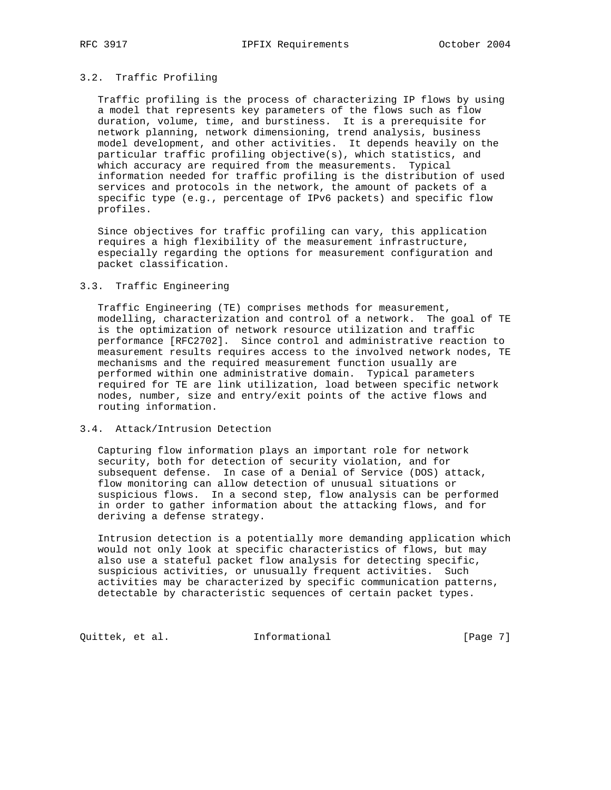# 3.2. Traffic Profiling

 Traffic profiling is the process of characterizing IP flows by using a model that represents key parameters of the flows such as flow duration, volume, time, and burstiness. It is a prerequisite for network planning, network dimensioning, trend analysis, business model development, and other activities. It depends heavily on the particular traffic profiling objective(s), which statistics, and which accuracy are required from the measurements. Typical information needed for traffic profiling is the distribution of used services and protocols in the network, the amount of packets of a specific type (e.g., percentage of IPv6 packets) and specific flow profiles.

 Since objectives for traffic profiling can vary, this application requires a high flexibility of the measurement infrastructure, especially regarding the options for measurement configuration and packet classification.

#### 3.3. Traffic Engineering

 Traffic Engineering (TE) comprises methods for measurement, modelling, characterization and control of a network. The goal of TE is the optimization of network resource utilization and traffic performance [RFC2702]. Since control and administrative reaction to measurement results requires access to the involved network nodes, TE mechanisms and the required measurement function usually are performed within one administrative domain. Typical parameters required for TE are link utilization, load between specific network nodes, number, size and entry/exit points of the active flows and routing information.

#### 3.4. Attack/Intrusion Detection

 Capturing flow information plays an important role for network security, both for detection of security violation, and for subsequent defense. In case of a Denial of Service (DOS) attack, flow monitoring can allow detection of unusual situations or suspicious flows. In a second step, flow analysis can be performed in order to gather information about the attacking flows, and for deriving a defense strategy.

 Intrusion detection is a potentially more demanding application which would not only look at specific characteristics of flows, but may also use a stateful packet flow analysis for detecting specific, suspicious activities, or unusually frequent activities. Such activities may be characterized by specific communication patterns, detectable by characteristic sequences of certain packet types.

Quittek, et al. 1nformational (Page 7)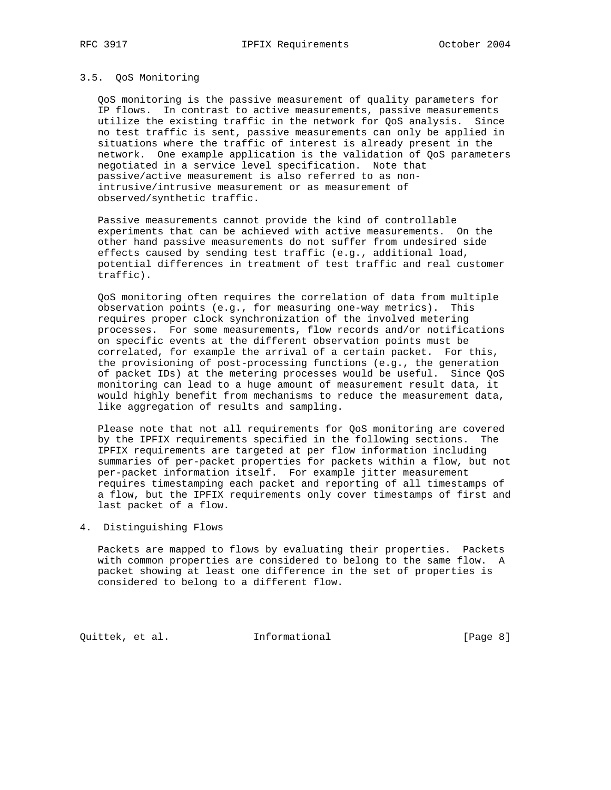#### 3.5. QoS Monitoring

 QoS monitoring is the passive measurement of quality parameters for IP flows. In contrast to active measurements, passive measurements utilize the existing traffic in the network for QoS analysis. Since no test traffic is sent, passive measurements can only be applied in situations where the traffic of interest is already present in the network. One example application is the validation of QoS parameters negotiated in a service level specification. Note that passive/active measurement is also referred to as non intrusive/intrusive measurement or as measurement of observed/synthetic traffic.

 Passive measurements cannot provide the kind of controllable experiments that can be achieved with active measurements. On the other hand passive measurements do not suffer from undesired side effects caused by sending test traffic (e.g., additional load, potential differences in treatment of test traffic and real customer traffic).

 QoS monitoring often requires the correlation of data from multiple observation points (e.g., for measuring one-way metrics). This requires proper clock synchronization of the involved metering processes. For some measurements, flow records and/or notifications on specific events at the different observation points must be correlated, for example the arrival of a certain packet. For this, the provisioning of post-processing functions (e.g., the generation of packet IDs) at the metering processes would be useful. Since QoS monitoring can lead to a huge amount of measurement result data, it would highly benefit from mechanisms to reduce the measurement data, like aggregation of results and sampling.

 Please note that not all requirements for QoS monitoring are covered by the IPFIX requirements specified in the following sections. The IPFIX requirements are targeted at per flow information including summaries of per-packet properties for packets within a flow, but not per-packet information itself. For example jitter measurement requires timestamping each packet and reporting of all timestamps of a flow, but the IPFIX requirements only cover timestamps of first and last packet of a flow.

### 4. Distinguishing Flows

 Packets are mapped to flows by evaluating their properties. Packets with common properties are considered to belong to the same flow. A packet showing at least one difference in the set of properties is considered to belong to a different flow.

Quittek, et al. 1nformational (Page 8)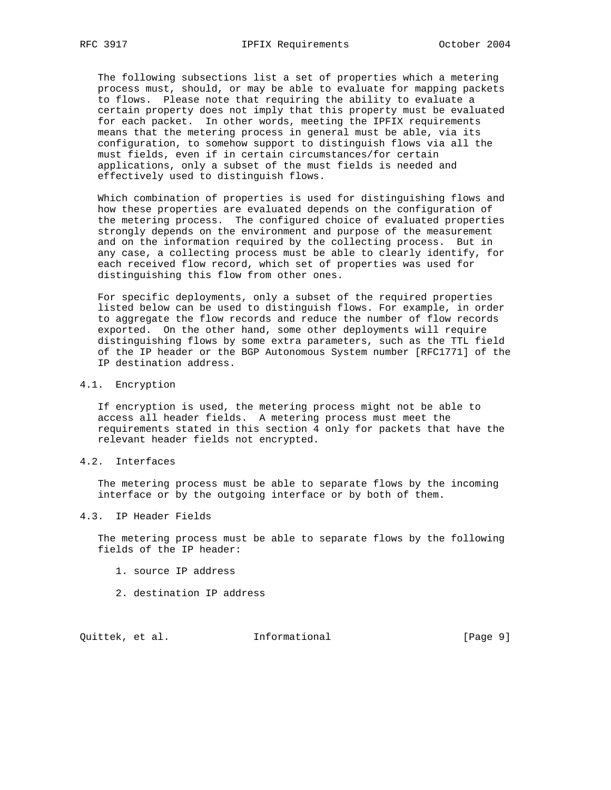The following subsections list a set of properties which a metering process must, should, or may be able to evaluate for mapping packets to flows. Please note that requiring the ability to evaluate a certain property does not imply that this property must be evaluated for each packet. In other words, meeting the IPFIX requirements means that the metering process in general must be able, via its configuration, to somehow support to distinguish flows via all the must fields, even if in certain circumstances/for certain applications, only a subset of the must fields is needed and effectively used to distinguish flows.

 Which combination of properties is used for distinguishing flows and how these properties are evaluated depends on the configuration of the metering process. The configured choice of evaluated properties strongly depends on the environment and purpose of the measurement and on the information required by the collecting process. But in any case, a collecting process must be able to clearly identify, for each received flow record, which set of properties was used for distinguishing this flow from other ones.

 For specific deployments, only a subset of the required properties listed below can be used to distinguish flows. For example, in order to aggregate the flow records and reduce the number of flow records exported. On the other hand, some other deployments will require distinguishing flows by some extra parameters, such as the TTL field of the IP header or the BGP Autonomous System number [RFC1771] of the IP destination address.

#### 4.1. Encryption

 If encryption is used, the metering process might not be able to access all header fields. A metering process must meet the requirements stated in this section 4 only for packets that have the relevant header fields not encrypted.

#### 4.2. Interfaces

 The metering process must be able to separate flows by the incoming interface or by the outgoing interface or by both of them.

#### 4.3. IP Header Fields

 The metering process must be able to separate flows by the following fields of the IP header:

- 1. source IP address
- 2. destination IP address

Quittek, et al. **Informational** [Page 9]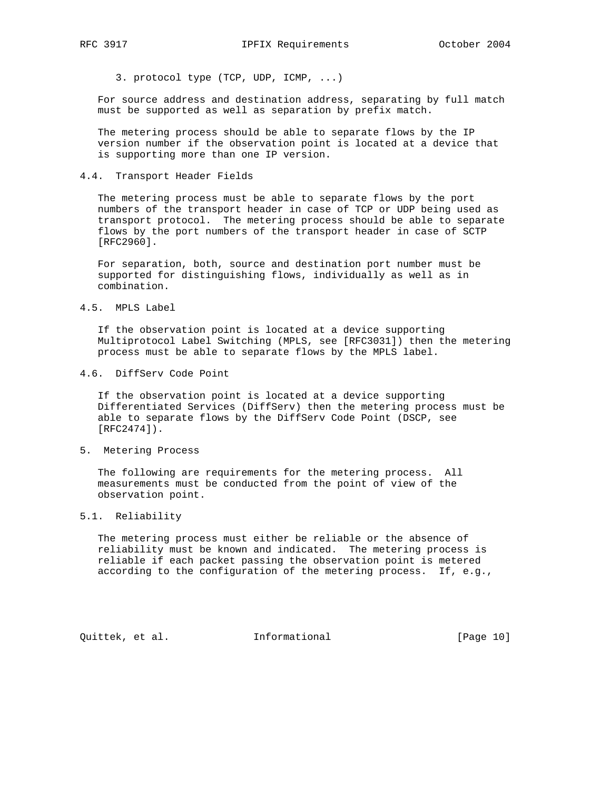3. protocol type (TCP, UDP, ICMP, ...)

 For source address and destination address, separating by full match must be supported as well as separation by prefix match.

 The metering process should be able to separate flows by the IP version number if the observation point is located at a device that is supporting more than one IP version.

4.4. Transport Header Fields

 The metering process must be able to separate flows by the port numbers of the transport header in case of TCP or UDP being used as transport protocol. The metering process should be able to separate flows by the port numbers of the transport header in case of SCTP [RFC2960].

 For separation, both, source and destination port number must be supported for distinguishing flows, individually as well as in combination.

4.5. MPLS Label

 If the observation point is located at a device supporting Multiprotocol Label Switching (MPLS, see [RFC3031]) then the metering process must be able to separate flows by the MPLS label.

4.6. DiffServ Code Point

 If the observation point is located at a device supporting Differentiated Services (DiffServ) then the metering process must be able to separate flows by the DiffServ Code Point (DSCP, see [RFC2474]).

5. Metering Process

 The following are requirements for the metering process. All measurements must be conducted from the point of view of the observation point.

#### 5.1. Reliability

 The metering process must either be reliable or the absence of reliability must be known and indicated. The metering process is reliable if each packet passing the observation point is metered according to the configuration of the metering process. If, e.g.,

Quittek, et al. Informational [Page 10]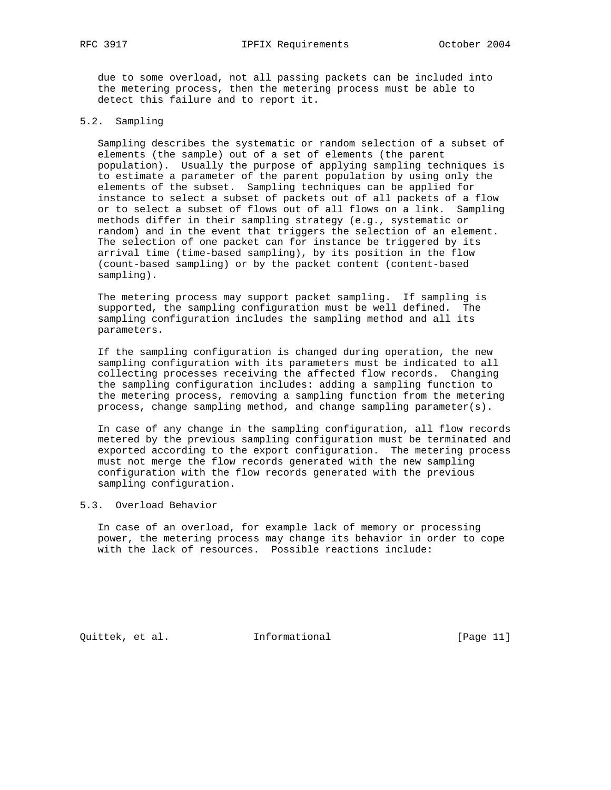due to some overload, not all passing packets can be included into the metering process, then the metering process must be able to detect this failure and to report it.

### 5.2. Sampling

 Sampling describes the systematic or random selection of a subset of elements (the sample) out of a set of elements (the parent population). Usually the purpose of applying sampling techniques is to estimate a parameter of the parent population by using only the elements of the subset. Sampling techniques can be applied for instance to select a subset of packets out of all packets of a flow or to select a subset of flows out of all flows on a link. Sampling methods differ in their sampling strategy (e.g., systematic or random) and in the event that triggers the selection of an element. The selection of one packet can for instance be triggered by its arrival time (time-based sampling), by its position in the flow (count-based sampling) or by the packet content (content-based sampling).

 The metering process may support packet sampling. If sampling is supported, the sampling configuration must be well defined. The sampling configuration includes the sampling method and all its parameters.

 If the sampling configuration is changed during operation, the new sampling configuration with its parameters must be indicated to all collecting processes receiving the affected flow records. Changing the sampling configuration includes: adding a sampling function to the metering process, removing a sampling function from the metering process, change sampling method, and change sampling parameter(s).

 In case of any change in the sampling configuration, all flow records metered by the previous sampling configuration must be terminated and exported according to the export configuration. The metering process must not merge the flow records generated with the new sampling configuration with the flow records generated with the previous sampling configuration.

### 5.3. Overload Behavior

 In case of an overload, for example lack of memory or processing power, the metering process may change its behavior in order to cope with the lack of resources. Possible reactions include:

Quittek, et al. Informational [Page 11]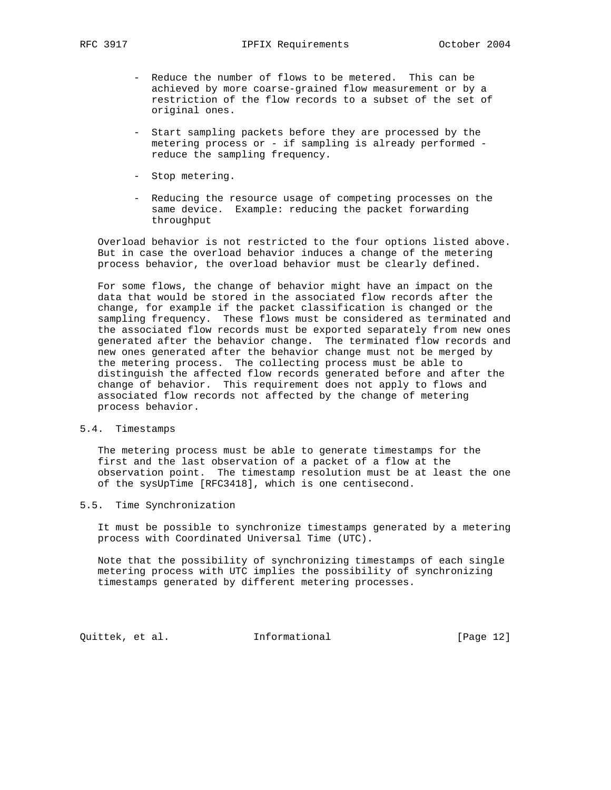- Reduce the number of flows to be metered. This can be achieved by more coarse-grained flow measurement or by a restriction of the flow records to a subset of the set of original ones.
- Start sampling packets before they are processed by the metering process or - if sampling is already performed reduce the sampling frequency.
- Stop metering.
- Reducing the resource usage of competing processes on the same device. Example: reducing the packet forwarding throughput

 Overload behavior is not restricted to the four options listed above. But in case the overload behavior induces a change of the metering process behavior, the overload behavior must be clearly defined.

 For some flows, the change of behavior might have an impact on the data that would be stored in the associated flow records after the change, for example if the packet classification is changed or the sampling frequency. These flows must be considered as terminated and the associated flow records must be exported separately from new ones generated after the behavior change. The terminated flow records and new ones generated after the behavior change must not be merged by the metering process. The collecting process must be able to distinguish the affected flow records generated before and after the change of behavior. This requirement does not apply to flows and associated flow records not affected by the change of metering process behavior.

# 5.4. Timestamps

 The metering process must be able to generate timestamps for the first and the last observation of a packet of a flow at the observation point. The timestamp resolution must be at least the one of the sysUpTime [RFC3418], which is one centisecond.

### 5.5. Time Synchronization

 It must be possible to synchronize timestamps generated by a metering process with Coordinated Universal Time (UTC).

 Note that the possibility of synchronizing timestamps of each single metering process with UTC implies the possibility of synchronizing timestamps generated by different metering processes.

Quittek, et al. 1nformational [Page 12]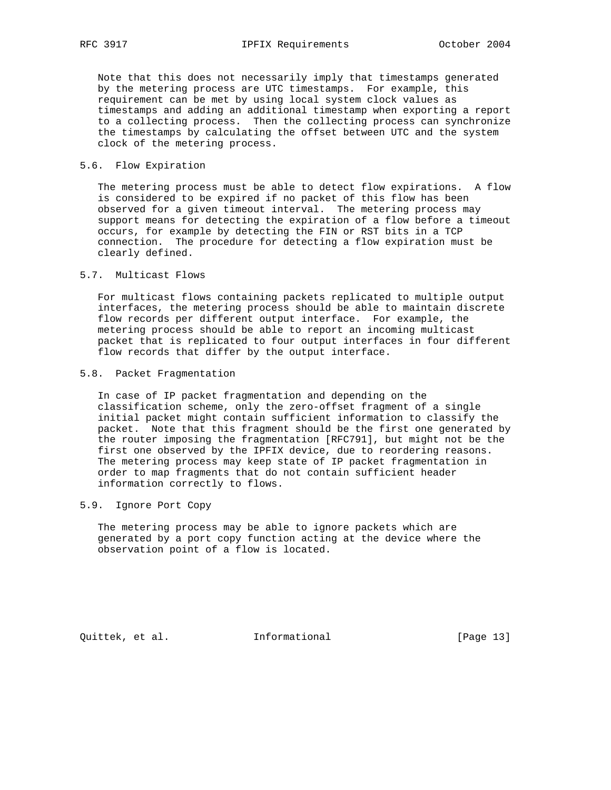Note that this does not necessarily imply that timestamps generated by the metering process are UTC timestamps. For example, this requirement can be met by using local system clock values as timestamps and adding an additional timestamp when exporting a report to a collecting process. Then the collecting process can synchronize the timestamps by calculating the offset between UTC and the system clock of the metering process.

#### 5.6. Flow Expiration

 The metering process must be able to detect flow expirations. A flow is considered to be expired if no packet of this flow has been observed for a given timeout interval. The metering process may support means for detecting the expiration of a flow before a timeout occurs, for example by detecting the FIN or RST bits in a TCP connection. The procedure for detecting a flow expiration must be clearly defined.

5.7. Multicast Flows

 For multicast flows containing packets replicated to multiple output interfaces, the metering process should be able to maintain discrete flow records per different output interface. For example, the metering process should be able to report an incoming multicast packet that is replicated to four output interfaces in four different flow records that differ by the output interface.

#### 5.8. Packet Fragmentation

 In case of IP packet fragmentation and depending on the classification scheme, only the zero-offset fragment of a single initial packet might contain sufficient information to classify the packet. Note that this fragment should be the first one generated by the router imposing the fragmentation [RFC791], but might not be the first one observed by the IPFIX device, due to reordering reasons. The metering process may keep state of IP packet fragmentation in order to map fragments that do not contain sufficient header information correctly to flows.

### 5.9. Ignore Port Copy

 The metering process may be able to ignore packets which are generated by a port copy function acting at the device where the observation point of a flow is located.

Quittek, et al. Informational [Page 13]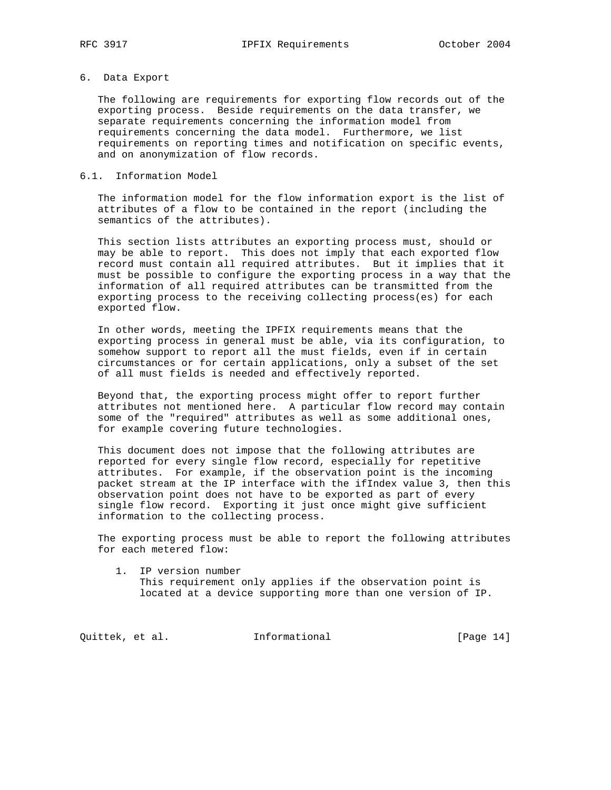# 6. Data Export

 The following are requirements for exporting flow records out of the exporting process. Beside requirements on the data transfer, we separate requirements concerning the information model from requirements concerning the data model. Furthermore, we list requirements on reporting times and notification on specific events, and on anonymization of flow records.

### 6.1. Information Model

 The information model for the flow information export is the list of attributes of a flow to be contained in the report (including the semantics of the attributes).

 This section lists attributes an exporting process must, should or may be able to report. This does not imply that each exported flow record must contain all required attributes. But it implies that it must be possible to configure the exporting process in a way that the information of all required attributes can be transmitted from the exporting process to the receiving collecting process(es) for each exported flow.

 In other words, meeting the IPFIX requirements means that the exporting process in general must be able, via its configuration, to somehow support to report all the must fields, even if in certain circumstances or for certain applications, only a subset of the set of all must fields is needed and effectively reported.

 Beyond that, the exporting process might offer to report further attributes not mentioned here. A particular flow record may contain some of the "required" attributes as well as some additional ones, for example covering future technologies.

 This document does not impose that the following attributes are reported for every single flow record, especially for repetitive attributes. For example, if the observation point is the incoming packet stream at the IP interface with the ifIndex value 3, then this observation point does not have to be exported as part of every single flow record. Exporting it just once might give sufficient information to the collecting process.

 The exporting process must be able to report the following attributes for each metered flow:

 1. IP version number This requirement only applies if the observation point is located at a device supporting more than one version of IP.

Quittek, et al. Informational [Page 14]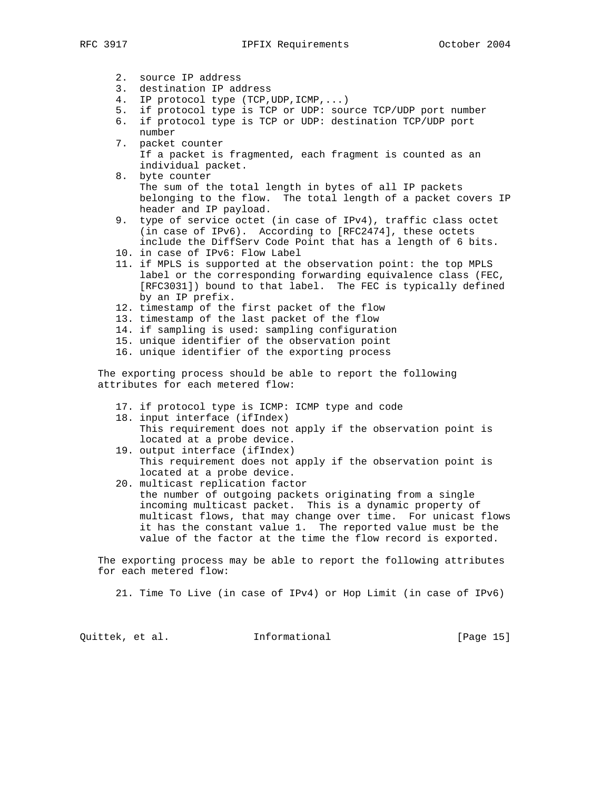| ⌒<br>DБ<br>◥ | v. |
|--------------|----|
|              |    |

- 2. source IP address
- 3. destination IP address
- 4. IP protocol type (TCP,UDP,ICMP,...)
- 5. if protocol type is TCP or UDP: source TCP/UDP port number
- 6. if protocol type is TCP or UDP: destination TCP/UDP port
- number 7. packet counter If a packet is fragmented, each fragment is counted as an individual packet.
- 8. byte counter The sum of the total length in bytes of all IP packets belonging to the flow. The total length of a packet covers IP header and IP payload.
- 9. type of service octet (in case of IPv4), traffic class octet (in case of IPv6). According to [RFC2474], these octets include the DiffServ Code Point that has a length of 6 bits.
- 10. in case of IPv6: Flow Label
- 11. if MPLS is supported at the observation point: the top MPLS label or the corresponding forwarding equivalence class (FEC, [RFC3031]) bound to that label. The FEC is typically defined by an IP prefix.
- 12. timestamp of the first packet of the flow
- 13. timestamp of the last packet of the flow
- 14. if sampling is used: sampling configuration
- 15. unique identifier of the observation point
- 16. unique identifier of the exporting process

 The exporting process should be able to report the following attributes for each metered flow:

- 17. if protocol type is ICMP: ICMP type and code
- 18. input interface (ifIndex) This requirement does not apply if the observation point is located at a probe device.
- 19. output interface (ifIndex) This requirement does not apply if the observation point is located at a probe device.
- 20. multicast replication factor the number of outgoing packets originating from a single incoming multicast packet. This is a dynamic property of multicast flows, that may change over time. For unicast flows it has the constant value 1. The reported value must be the value of the factor at the time the flow record is exported.

 The exporting process may be able to report the following attributes for each metered flow:

21. Time To Live (in case of IPv4) or Hop Limit (in case of IPv6)

Quittek, et al. Informational [Page 15]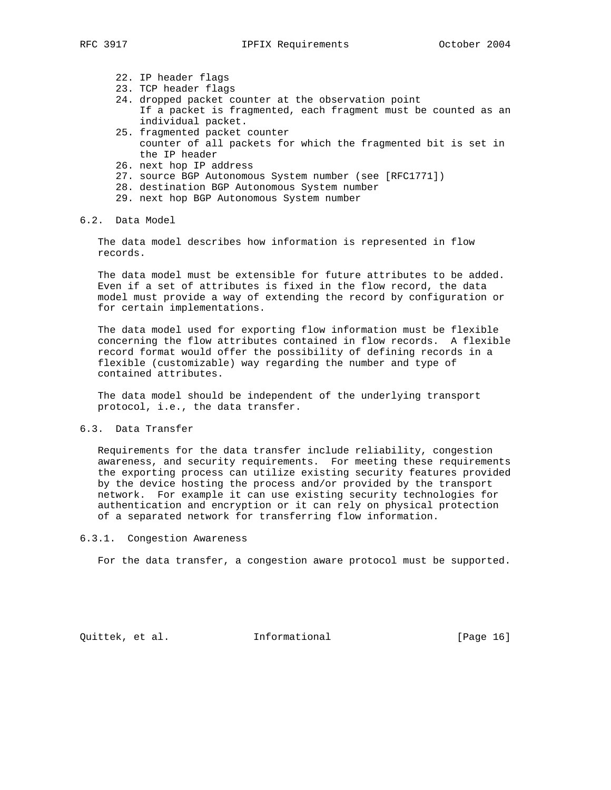- 22. IP header flags
- 23. TCP header flags
- 24. dropped packet counter at the observation point
- If a packet is fragmented, each fragment must be counted as an individual packet.
- 25. fragmented packet counter counter of all packets for which the fragmented bit is set in the IP header
- 26. next hop IP address
- 27. source BGP Autonomous System number (see [RFC1771])
- 28. destination BGP Autonomous System number
- 29. next hop BGP Autonomous System number
- 6.2. Data Model

 The data model describes how information is represented in flow records.

 The data model must be extensible for future attributes to be added. Even if a set of attributes is fixed in the flow record, the data model must provide a way of extending the record by configuration or for certain implementations.

 The data model used for exporting flow information must be flexible concerning the flow attributes contained in flow records. A flexible record format would offer the possibility of defining records in a flexible (customizable) way regarding the number and type of contained attributes.

 The data model should be independent of the underlying transport protocol, i.e., the data transfer.

6.3. Data Transfer

 Requirements for the data transfer include reliability, congestion awareness, and security requirements. For meeting these requirements the exporting process can utilize existing security features provided by the device hosting the process and/or provided by the transport network. For example it can use existing security technologies for authentication and encryption or it can rely on physical protection of a separated network for transferring flow information.

6.3.1. Congestion Awareness

For the data transfer, a congestion aware protocol must be supported.

Quittek, et al. Informational [Page 16]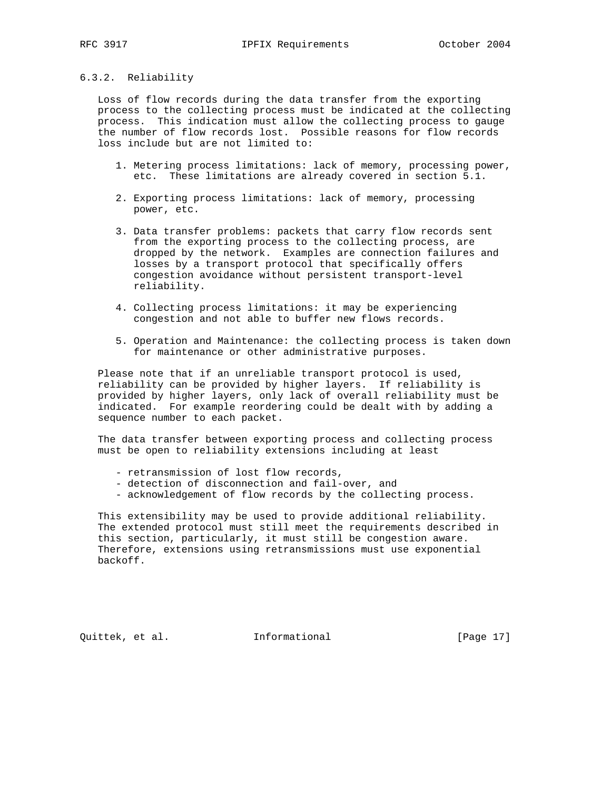### 6.3.2. Reliability

 Loss of flow records during the data transfer from the exporting process to the collecting process must be indicated at the collecting process. This indication must allow the collecting process to gauge the number of flow records lost. Possible reasons for flow records loss include but are not limited to:

- 1. Metering process limitations: lack of memory, processing power, etc. These limitations are already covered in section 5.1.
- 2. Exporting process limitations: lack of memory, processing power, etc.
- 3. Data transfer problems: packets that carry flow records sent from the exporting process to the collecting process, are dropped by the network. Examples are connection failures and losses by a transport protocol that specifically offers congestion avoidance without persistent transport-level reliability.
- 4. Collecting process limitations: it may be experiencing congestion and not able to buffer new flows records.
- 5. Operation and Maintenance: the collecting process is taken down for maintenance or other administrative purposes.

 Please note that if an unreliable transport protocol is used, reliability can be provided by higher layers. If reliability is provided by higher layers, only lack of overall reliability must be indicated. For example reordering could be dealt with by adding a sequence number to each packet.

 The data transfer between exporting process and collecting process must be open to reliability extensions including at least

- retransmission of lost flow records,
- detection of disconnection and fail-over, and
- acknowledgement of flow records by the collecting process.

 This extensibility may be used to provide additional reliability. The extended protocol must still meet the requirements described in this section, particularly, it must still be congestion aware. Therefore, extensions using retransmissions must use exponential backoff.

Quittek, et al. Informational [Page 17]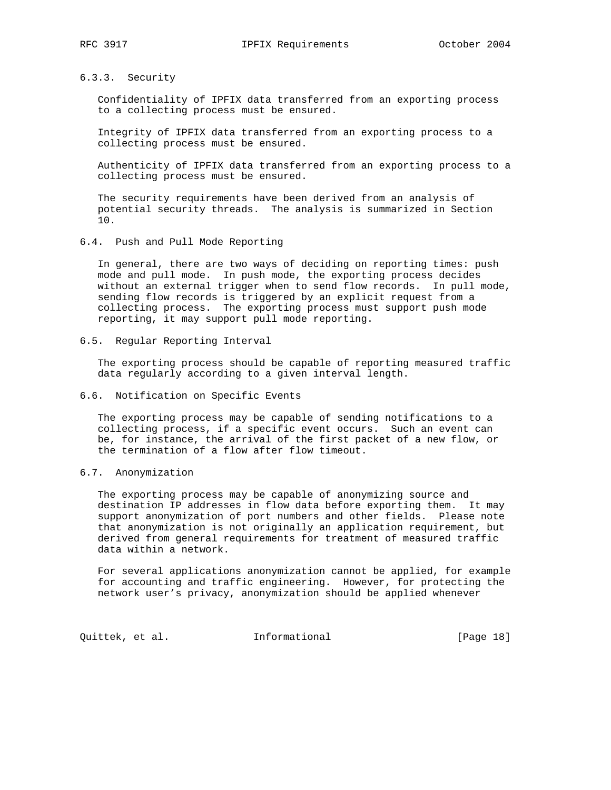# 6.3.3. Security

 Confidentiality of IPFIX data transferred from an exporting process to a collecting process must be ensured.

 Integrity of IPFIX data transferred from an exporting process to a collecting process must be ensured.

 Authenticity of IPFIX data transferred from an exporting process to a collecting process must be ensured.

 The security requirements have been derived from an analysis of potential security threads. The analysis is summarized in Section 10.

6.4. Push and Pull Mode Reporting

 In general, there are two ways of deciding on reporting times: push mode and pull mode. In push mode, the exporting process decides without an external trigger when to send flow records. In pull mode, sending flow records is triggered by an explicit request from a collecting process. The exporting process must support push mode reporting, it may support pull mode reporting.

6.5. Regular Reporting Interval

 The exporting process should be capable of reporting measured traffic data regularly according to a given interval length.

6.6. Notification on Specific Events

 The exporting process may be capable of sending notifications to a collecting process, if a specific event occurs. Such an event can be, for instance, the arrival of the first packet of a new flow, or the termination of a flow after flow timeout.

6.7. Anonymization

 The exporting process may be capable of anonymizing source and destination IP addresses in flow data before exporting them. It may support anonymization of port numbers and other fields. Please note that anonymization is not originally an application requirement, but derived from general requirements for treatment of measured traffic data within a network.

 For several applications anonymization cannot be applied, for example for accounting and traffic engineering. However, for protecting the network user's privacy, anonymization should be applied whenever

Quittek, et al. 1nformational (Page 18)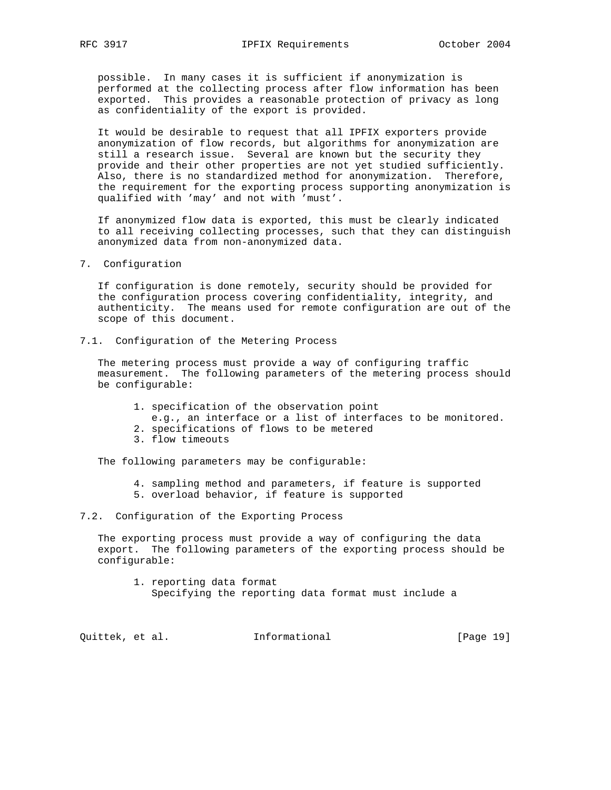possible. In many cases it is sufficient if anonymization is performed at the collecting process after flow information has been exported. This provides a reasonable protection of privacy as long as confidentiality of the export is provided.

 It would be desirable to request that all IPFIX exporters provide anonymization of flow records, but algorithms for anonymization are still a research issue. Several are known but the security they provide and their other properties are not yet studied sufficiently. Also, there is no standardized method for anonymization. Therefore, the requirement for the exporting process supporting anonymization is qualified with 'may' and not with 'must'.

 If anonymized flow data is exported, this must be clearly indicated to all receiving collecting processes, such that they can distinguish anonymized data from non-anonymized data.

#### 7. Configuration

 If configuration is done remotely, security should be provided for the configuration process covering confidentiality, integrity, and authenticity. The means used for remote configuration are out of the scope of this document.

7.1. Configuration of the Metering Process

 The metering process must provide a way of configuring traffic measurement. The following parameters of the metering process should be configurable:

- 1. specification of the observation point
	- e.g., an interface or a list of interfaces to be monitored.
- 2. specifications of flows to be metered
- 3. flow timeouts

The following parameters may be configurable:

- 4. sampling method and parameters, if feature is supported
- 5. overload behavior, if feature is supported

#### 7.2. Configuration of the Exporting Process

 The exporting process must provide a way of configuring the data export. The following parameters of the exporting process should be configurable:

 1. reporting data format Specifying the reporting data format must include a

Quittek, et al. 1nformational [Page 19]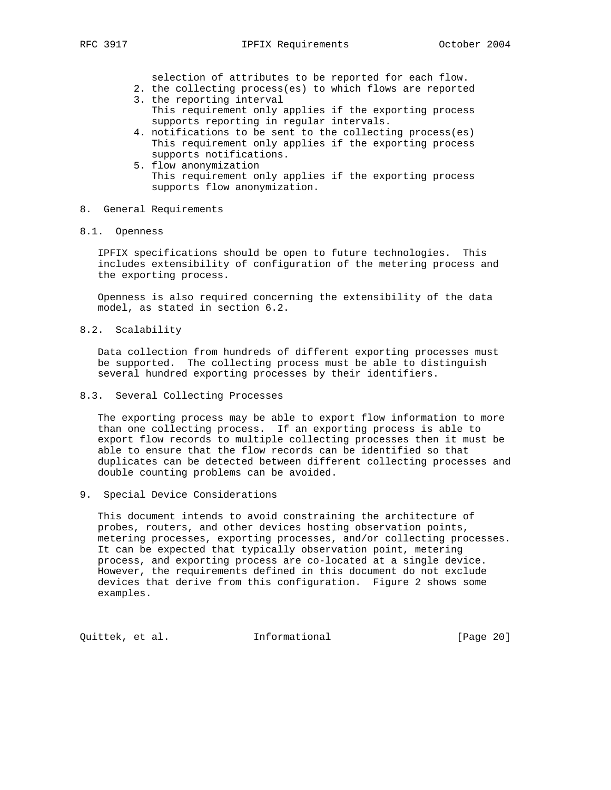selection of attributes to be reported for each flow.

- 2. the collecting process(es) to which flows are reported 3. the reporting interval
- This requirement only applies if the exporting process supports reporting in regular intervals.
- 4. notifications to be sent to the collecting process(es) This requirement only applies if the exporting process supports notifications.
- 5. flow anonymization This requirement only applies if the exporting process supports flow anonymization.
- 8. General Requirements
- 8.1. Openness

 IPFIX specifications should be open to future technologies. This includes extensibility of configuration of the metering process and the exporting process.

 Openness is also required concerning the extensibility of the data model, as stated in section 6.2.

8.2. Scalability

 Data collection from hundreds of different exporting processes must be supported. The collecting process must be able to distinguish several hundred exporting processes by their identifiers.

8.3. Several Collecting Processes

 The exporting process may be able to export flow information to more than one collecting process. If an exporting process is able to export flow records to multiple collecting processes then it must be able to ensure that the flow records can be identified so that duplicates can be detected between different collecting processes and double counting problems can be avoided.

9. Special Device Considerations

 This document intends to avoid constraining the architecture of probes, routers, and other devices hosting observation points, metering processes, exporting processes, and/or collecting processes. It can be expected that typically observation point, metering process, and exporting process are co-located at a single device. However, the requirements defined in this document do not exclude devices that derive from this configuration. Figure 2 shows some examples.

Quittek, et al. 1nformational [Page 20]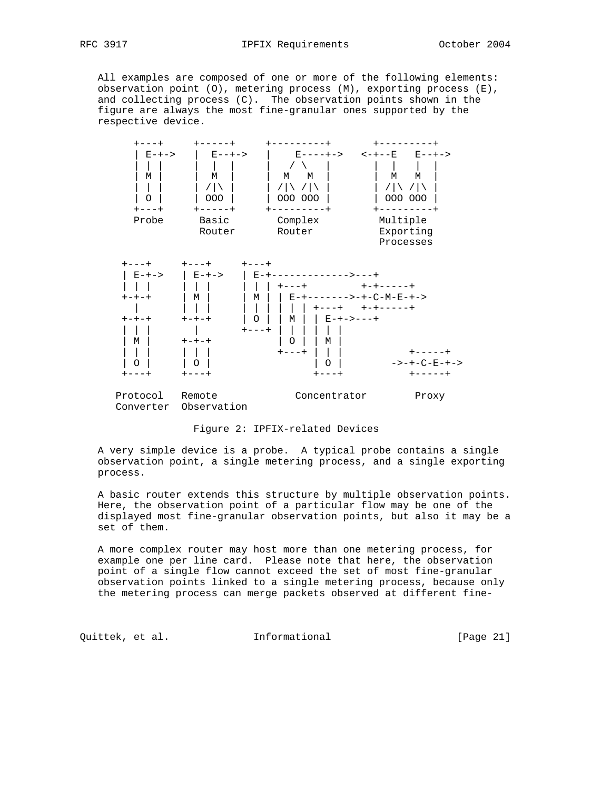All examples are composed of one or more of the following elements: observation point (O), metering process (M), exporting process (E), and collecting process (C). The observation points shown in the figure are always the most fine-granular ones supported by the respective device.



Figure 2: IPFIX-related Devices

 A very simple device is a probe. A typical probe contains a single observation point, a single metering process, and a single exporting process.

 A basic router extends this structure by multiple observation points. Here, the observation point of a particular flow may be one of the displayed most fine-granular observation points, but also it may be a set of them.

 A more complex router may host more than one metering process, for example one per line card. Please note that here, the observation point of a single flow cannot exceed the set of most fine-granular observation points linked to a single metering process, because only the metering process can merge packets observed at different fine-

Quittek, et al. 1nformational [Page 21]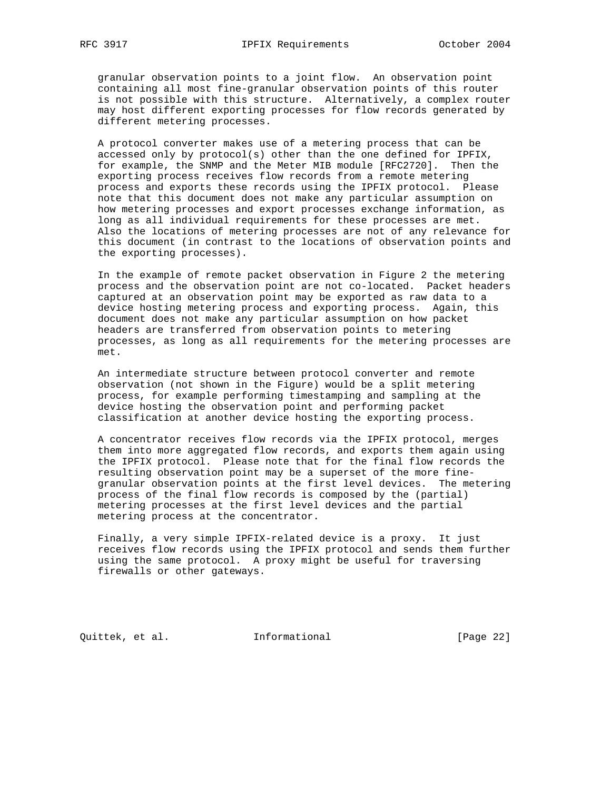granular observation points to a joint flow. An observation point containing all most fine-granular observation points of this router is not possible with this structure. Alternatively, a complex router may host different exporting processes for flow records generated by different metering processes.

 A protocol converter makes use of a metering process that can be accessed only by protocol(s) other than the one defined for IPFIX, for example, the SNMP and the Meter MIB module [RFC2720]. Then the exporting process receives flow records from a remote metering process and exports these records using the IPFIX protocol. Please note that this document does not make any particular assumption on how metering processes and export processes exchange information, as long as all individual requirements for these processes are met. Also the locations of metering processes are not of any relevance for this document (in contrast to the locations of observation points and the exporting processes).

 In the example of remote packet observation in Figure 2 the metering process and the observation point are not co-located. Packet headers captured at an observation point may be exported as raw data to a device hosting metering process and exporting process. Again, this document does not make any particular assumption on how packet headers are transferred from observation points to metering processes, as long as all requirements for the metering processes are met.

 An intermediate structure between protocol converter and remote observation (not shown in the Figure) would be a split metering process, for example performing timestamping and sampling at the device hosting the observation point and performing packet classification at another device hosting the exporting process.

 A concentrator receives flow records via the IPFIX protocol, merges them into more aggregated flow records, and exports them again using the IPFIX protocol. Please note that for the final flow records the resulting observation point may be a superset of the more fine granular observation points at the first level devices. The metering process of the final flow records is composed by the (partial) metering processes at the first level devices and the partial metering process at the concentrator.

 Finally, a very simple IPFIX-related device is a proxy. It just receives flow records using the IPFIX protocol and sends them further using the same protocol. A proxy might be useful for traversing firewalls or other gateways.

Quittek, et al. Informational [Page 22]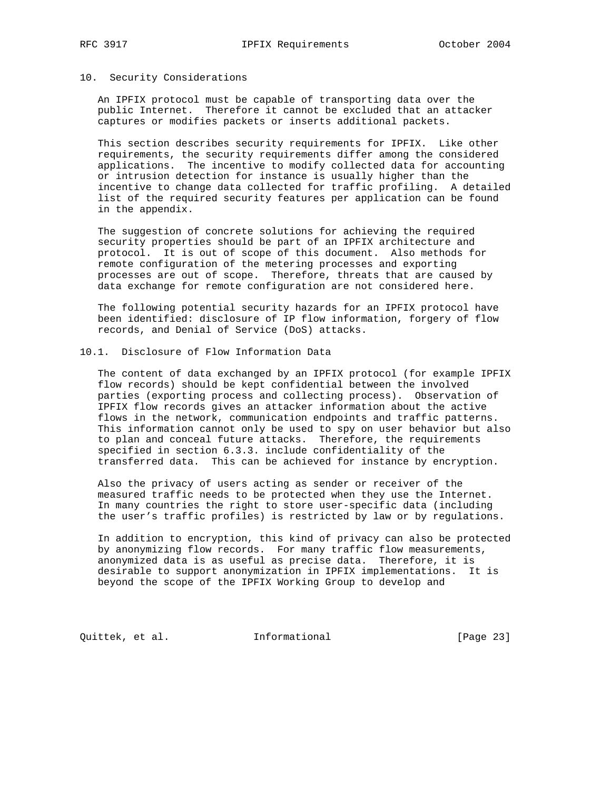### 10. Security Considerations

 An IPFIX protocol must be capable of transporting data over the public Internet. Therefore it cannot be excluded that an attacker captures or modifies packets or inserts additional packets.

 This section describes security requirements for IPFIX. Like other requirements, the security requirements differ among the considered applications. The incentive to modify collected data for accounting or intrusion detection for instance is usually higher than the incentive to change data collected for traffic profiling. A detailed list of the required security features per application can be found in the appendix.

 The suggestion of concrete solutions for achieving the required security properties should be part of an IPFIX architecture and protocol. It is out of scope of this document. Also methods for remote configuration of the metering processes and exporting processes are out of scope. Therefore, threats that are caused by data exchange for remote configuration are not considered here.

 The following potential security hazards for an IPFIX protocol have been identified: disclosure of IP flow information, forgery of flow records, and Denial of Service (DoS) attacks.

### 10.1. Disclosure of Flow Information Data

 The content of data exchanged by an IPFIX protocol (for example IPFIX flow records) should be kept confidential between the involved parties (exporting process and collecting process). Observation of IPFIX flow records gives an attacker information about the active flows in the network, communication endpoints and traffic patterns. This information cannot only be used to spy on user behavior but also to plan and conceal future attacks. Therefore, the requirements specified in section 6.3.3. include confidentiality of the transferred data. This can be achieved for instance by encryption.

 Also the privacy of users acting as sender or receiver of the measured traffic needs to be protected when they use the Internet. In many countries the right to store user-specific data (including the user's traffic profiles) is restricted by law or by regulations.

 In addition to encryption, this kind of privacy can also be protected by anonymizing flow records. For many traffic flow measurements, anonymized data is as useful as precise data. Therefore, it is desirable to support anonymization in IPFIX implementations. It is beyond the scope of the IPFIX Working Group to develop and

Quittek, et al. 1nformational [Page 23]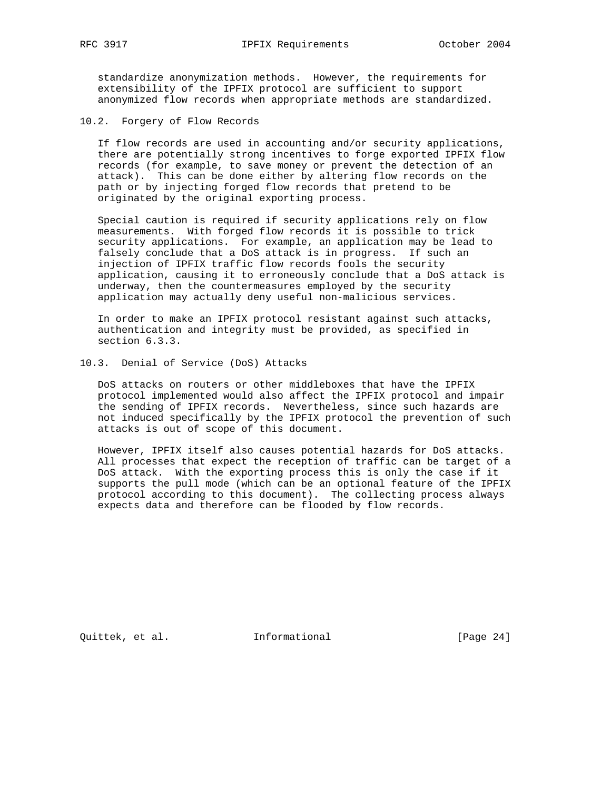standardize anonymization methods. However, the requirements for extensibility of the IPFIX protocol are sufficient to support anonymized flow records when appropriate methods are standardized.

10.2. Forgery of Flow Records

 If flow records are used in accounting and/or security applications, there are potentially strong incentives to forge exported IPFIX flow records (for example, to save money or prevent the detection of an attack). This can be done either by altering flow records on the path or by injecting forged flow records that pretend to be originated by the original exporting process.

 Special caution is required if security applications rely on flow measurements. With forged flow records it is possible to trick security applications. For example, an application may be lead to falsely conclude that a DoS attack is in progress. If such an injection of IPFIX traffic flow records fools the security application, causing it to erroneously conclude that a DoS attack is underway, then the countermeasures employed by the security application may actually deny useful non-malicious services.

 In order to make an IPFIX protocol resistant against such attacks, authentication and integrity must be provided, as specified in section 6.3.3.

10.3. Denial of Service (DoS) Attacks

 DoS attacks on routers or other middleboxes that have the IPFIX protocol implemented would also affect the IPFIX protocol and impair the sending of IPFIX records. Nevertheless, since such hazards are not induced specifically by the IPFIX protocol the prevention of such attacks is out of scope of this document.

 However, IPFIX itself also causes potential hazards for DoS attacks. All processes that expect the reception of traffic can be target of a DoS attack. With the exporting process this is only the case if it supports the pull mode (which can be an optional feature of the IPFIX protocol according to this document). The collecting process always expects data and therefore can be flooded by flow records.

Quittek, et al. Informational [Page 24]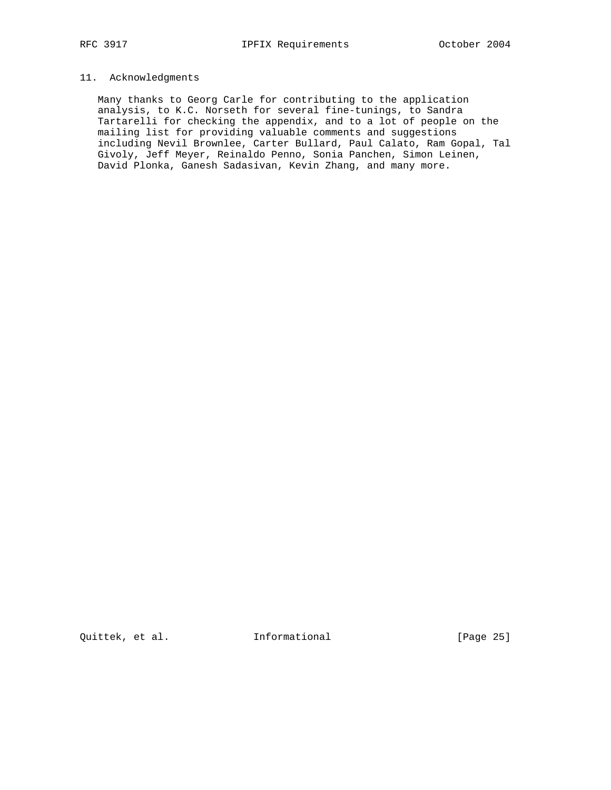# 11. Acknowledgments

 Many thanks to Georg Carle for contributing to the application analysis, to K.C. Norseth for several fine-tunings, to Sandra Tartarelli for checking the appendix, and to a lot of people on the mailing list for providing valuable comments and suggestions including Nevil Brownlee, Carter Bullard, Paul Calato, Ram Gopal, Tal Givoly, Jeff Meyer, Reinaldo Penno, Sonia Panchen, Simon Leinen, David Plonka, Ganesh Sadasivan, Kevin Zhang, and many more.

Quittek, et al. 1nformational [Page 25]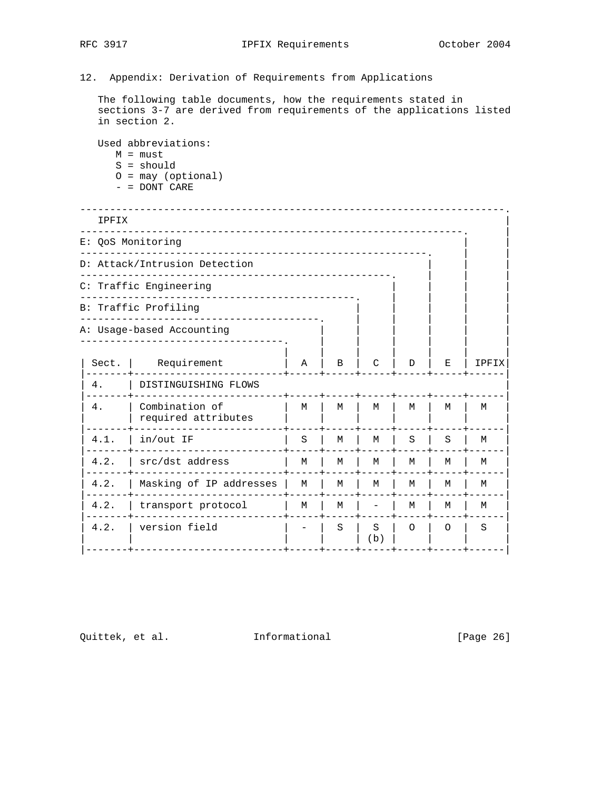# 12. Appendix: Derivation of Requirements from Applications

 The following table documents, how the requirements stated in sections 3-7 are derived from requirements of the applications listed in section 2.

Used abbreviations:

- M = must
- S = should
- O = may (optional)
- = DONT CARE

| IPFIX                         |                                       |   |   |          |          |         |       |  |  |
|-------------------------------|---------------------------------------|---|---|----------|----------|---------|-------|--|--|
| E: QoS Monitoring             |                                       |   |   |          |          |         |       |  |  |
| D: Attack/Intrusion Detection |                                       |   |   |          |          |         |       |  |  |
|                               | C: Traffic Engineering                |   |   |          |          |         |       |  |  |
|                               | B: Traffic Profiling                  |   |   |          |          |         |       |  |  |
|                               | A: Usage-based Accounting             |   |   |          |          |         |       |  |  |
| Sect.                         | Requirement                           | A | B | C        | D        | Е       | IPFIX |  |  |
| 4.                            | DISTINGUISHING FLOWS                  |   |   |          |          |         |       |  |  |
| 4.                            | Combination of<br>required attributes | M | M | M        | M        | M       | м     |  |  |
| 4.1.                          | in/out IF                             | S | M | М        | S        | S       | M     |  |  |
| 4.2.                          | src/dst address                       | M | M | M        | M        | M       | M     |  |  |
| 4.2.                          | Masking of IP addresses               | M | M | M        | M        | М       | М     |  |  |
| 4.2.                          | transport protocol                    | M | М |          | M        | M       | М     |  |  |
| 4.2.                          | version field                         |   | S | S<br>(b) | $\Omega$ | $\circ$ | S     |  |  |

Quittek, et al. 1nformational [Page 26]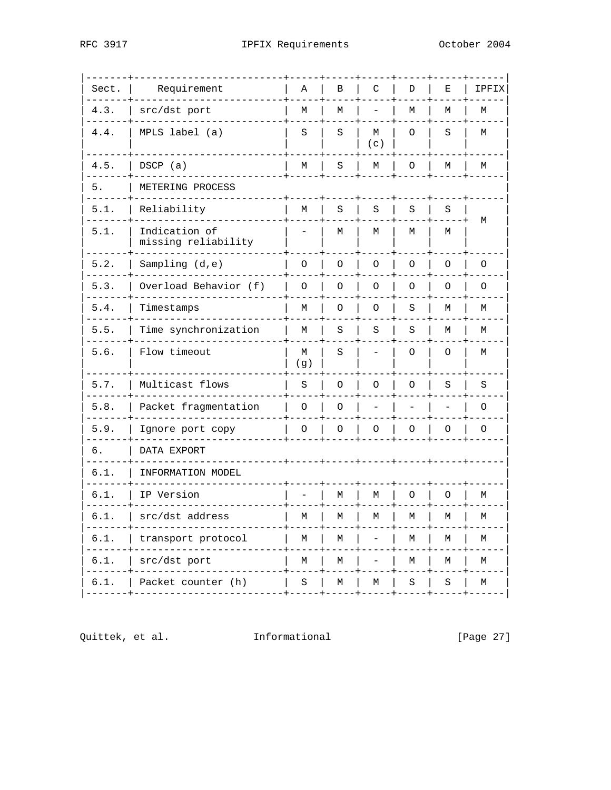| Sect. | Requirement                          | Α        | В       | C        | D       | Е       | IPFIX        |
|-------|--------------------------------------|----------|---------|----------|---------|---------|--------------|
| 4.3.  | src/dst port                         | М        | М       |          | М       | М       | М            |
| 4.4.  | MPLS label (a)                       | S        | S       | M<br>(c) | O       | S       | М            |
| 4.5.  | DSCP (a)                             | М        | S       | М        | O       | М       | М<br>$- -$   |
| 5.    | METERING PROCESS                     |          |         |          |         |         |              |
| 5.1.  | Reliability                          | M        | S       | S        | $\rm S$ | $\rm S$ | М            |
| 5.1.  | Indication of<br>missing reliability |          | М       | М        | М       | М       |              |
| 5.2.  | Sampling $(d,e)$                     | O        | $\circ$ | $\circ$  | $\circ$ | O       | 0            |
| 5.3.  | Overload Behavior (f)                | $\circ$  | O       | O        | O       | O       | O            |
| 5.4.  | Timestamps                           | М        | $\circ$ | $\circ$  | S       | М       | М            |
| 5.5.  | Time synchronization                 | M        | S       | S        | S       | М       | М            |
| 5.6.  | Flow timeout                         | М<br>(g) | S       |          | $\circ$ | $\circ$ | М            |
| 5.7.  | Multicast flows                      | S        | O       | $\circ$  | $\circ$ | S       | S            |
| 5.8.  | Packet fragmentation                 | $\circ$  | $\circ$ |          |         |         | $\circ$      |
| 5.9.  | Ignore port copy                     | O        | O       | O        | O       | O       | 0            |
| б.    | DATA EXPORT                          |          |         |          |         |         |              |
| 6.1.  | INFORMATION MODEL                    |          |         |          |         |         |              |
| 6.1.  | IP Version                           |          | М       | М        | O       | $\circ$ | М            |
| 6.1.  | src/dst address                      | М        | М       | М        | М       | М       | М            |
| 6.1.  | transport protocol                   | М        | М       |          | М       | М       | М            |
| 6.1.  | src/dst port                         | М        | М       |          | М       | М       | М            |
| 6.1.  | Packet counter (h)                   | $\rm S$  | М       | М        | S       | $\rm S$ | М<br>$- - -$ |

Quittek, et al. Informational

[Page 27]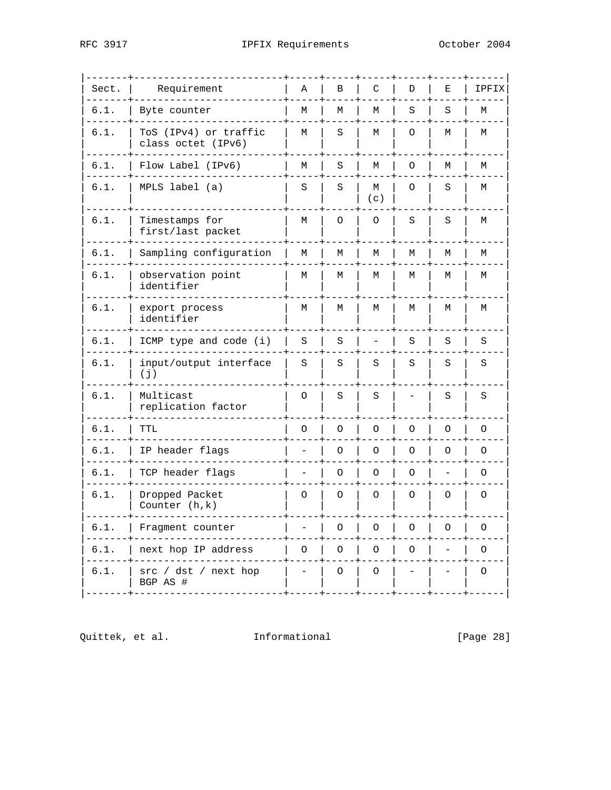| Sect. | Requirement                                 | Α | В | C        | D       | Е | IPFIX   |
|-------|---------------------------------------------|---|---|----------|---------|---|---------|
| 6.1.  | Byte counter                                | М | М | М        | S       | S | М       |
| 6.1.  | ToS (IPv4) or traffic<br>class octet (IPv6) | М | S | М        | O       | М | М       |
| 6.1.  | Flow Label (IPv6)                           | М | S | М        | 0       | М | М       |
| 6.1.  | MPLS label (a)                              | S | S | М<br>(c) | O       | S | М       |
| 6.1.  | Timestamps for<br>first/last packet         | М | 0 | O        | S       | S | М       |
| 6.1.  | Sampling configuration                      | М | М | М        | М       | М | М       |
| 6.1.  | observation point<br>identifier             | М | М | М        | M       | M | М       |
| 6.1.  | export process<br>identifier                | М | М | М        | М       | М | М       |
| 6.1.  | ICMP type and code (i)                      | S | S |          | S       | S | $\rm S$ |
| 6.1.  | input/output interface<br>(j)               | S | S | S        | S       | S | S       |
| 6.1.  | Multicast<br>replication factor             | O | S | S        |         | S | S       |
| 6.1.  | TTL                                         | O | O | O        | O       | O | $\circ$ |
| 6.1.  | IP header flags                             |   | O | O        | O       | O | O       |
| 6.1.  | TCP header flags                            |   | O | O        | $\circ$ |   | $\circ$ |
| 6.1.  | Dropped Packet<br>Counter $(h,k)$           | O | O | O        | O       | O | $\circ$ |
| 6.1.  | Fragment counter                            |   | O | O        | O       | O | O       |
| 6.1.  | next hop IP address                         | O | O | O        | O       |   | $\circ$ |
| 6.1.  | src / dst / next hop<br>BGP AS #            |   | O | O        |         |   | O       |

Quittek, et al. Informational

[Page 28]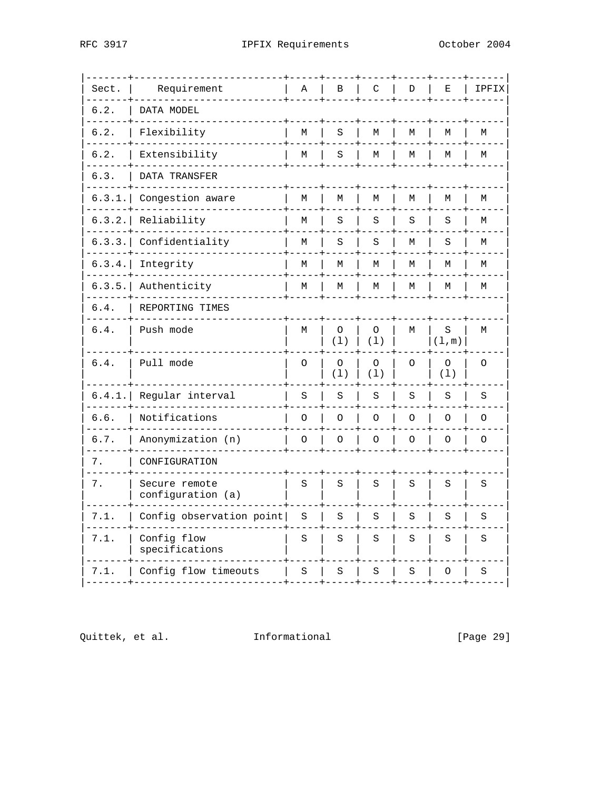| Sect.  | Requirement                        | Α       | B              | C              | D       | Е              | IPFIX   |
|--------|------------------------------------|---------|----------------|----------------|---------|----------------|---------|
| 6.2.   | DATA MODEL                         |         |                |                |         |                |         |
| 6.2.   | Flexibility                        | М       | S              | М              | М       | М              | М       |
| 6.2.   | Extensibility                      | М       | S              | M              | M       | М              | М       |
| 6.3.   | DATA TRANSFER                      |         |                |                |         |                |         |
| 6.3.1. | Congestion aware                   | М       | M              | M              | M       | М              | М       |
| 6.3.2. | Reliability                        | М       | S              | S              | S       | S              | М       |
| 6.3.3. | Confidentiality                    | М       | S              | S              | М       | S              | М       |
| 6.3.4. | Integrity                          | М       | М              | М              | М       | М              | М       |
| 6.3.5. | Authenticity                       | M       | M              | M              | M       | М              | М       |
| 6.4.   | REPORTING TIMES                    |         |                |                |         |                |         |
| 6.4.   | Push mode                          | М       | O<br>(1)       | O<br>(1)       | М       | S<br>(1,m)     | М       |
| 6.4.   | Pull mode                          | $\circ$ | $\circ$<br>(1) | $\circ$<br>(1) | $\circ$ | $\circ$<br>(1) | $\circ$ |
| 6.4.1. | Regular interval                   | S       | S              | S              | S       | S              | S       |
| 6.6.   | Notifications                      | O       | O              | $\circ$        | O       | $\circ$        | $\circ$ |
| 6.7.   | Anonymization (n)                  | O       | $\circ$        | $\circ$        | $\circ$ | $\circ$        | $\circ$ |
| 7.     | CONFIGURATION                      |         |                |                |         |                |         |
| 7.     | Secure remote<br>configuration (a) | S       | S              | S              | S       | S              | S       |
| 7.1.   | Config observation point           | S       | S              | S              | S       | S              | S       |
| 7.1.   | Config flow<br>specifications      | S       | S              | S              | S       | S              | S       |
| 7.1.   | Config flow timeouts               | S       | S              | S              | S       | $\circ$        | S       |

Quittek, et al. Informational

[Page 29]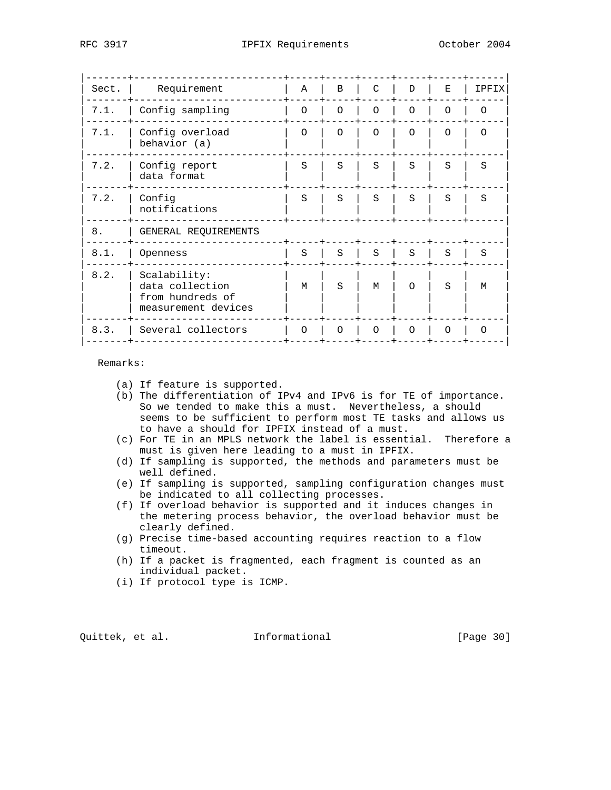| Sect. | Requirement                                                                | A        | B        | C        | D        | F.       | <b>IPFIX</b> |
|-------|----------------------------------------------------------------------------|----------|----------|----------|----------|----------|--------------|
| 7.1.  | Config sampling                                                            | $\Omega$ | $\Omega$ | $\Omega$ | $\Omega$ | $\Omega$ | $\Omega$     |
| 7.1.  | Config overload<br>behavior (a)                                            | $\Omega$ | $\Omega$ | $\Omega$ | $\Omega$ | $\Omega$ | $\Omega$     |
| 7.2.  | Config report<br>data format                                               | S        | S        | S        | S        | S        | S            |
| 7.2.  | Config<br>notifications                                                    | S        | S        | S        | S        | S        | S            |
| 8.    | GENERAL REQUIREMENTS                                                       |          |          |          |          |          |              |
| 8.1.  | Openness                                                                   | S        | S        | S        | S        | S        | S            |
| 8.2.  | Scalability:<br>data collection<br>from hundreds of<br>measurement devices | М        | S        | M        | $\Omega$ | S        | M            |
| 8.3.  | Several collectors                                                         | ∩        | ∩        | $\Omega$ | $\Omega$ | $\Omega$ | ∩            |
|       |                                                                            |          |          |          |          |          |              |

Remarks:

- (a) If feature is supported.
- (b) The differentiation of IPv4 and IPv6 is for TE of importance. So we tended to make this a must. Nevertheless, a should seems to be sufficient to perform most TE tasks and allows us to have a should for IPFIX instead of a must.
- (c) For TE in an MPLS network the label is essential. Therefore a must is given here leading to a must in IPFIX.
- (d) If sampling is supported, the methods and parameters must be well defined.
- (e) If sampling is supported, sampling configuration changes must be indicated to all collecting processes.
- (f) If overload behavior is supported and it induces changes in the metering process behavior, the overload behavior must be clearly defined.
- (g) Precise time-based accounting requires reaction to a flow timeout.
- (h) If a packet is fragmented, each fragment is counted as an individual packet.
- (i) If protocol type is ICMP.

Quittek, et al. Informational [Page 30]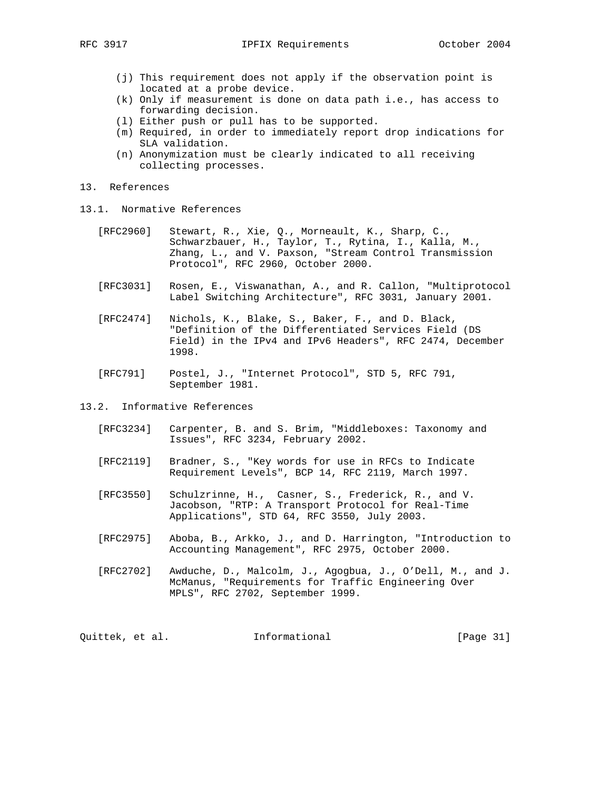- (j) This requirement does not apply if the observation point is located at a probe device.
- (k) Only if measurement is done on data path i.e., has access to forwarding decision.
- (l) Either push or pull has to be supported.
- (m) Required, in order to immediately report drop indications for SLA validation.
- (n) Anonymization must be clearly indicated to all receiving collecting processes.
- 13. References
- 13.1. Normative References
	- [RFC2960] Stewart, R., Xie, Q., Morneault, K., Sharp, C., Schwarzbauer, H., Taylor, T., Rytina, I., Kalla, M., Zhang, L., and V. Paxson, "Stream Control Transmission Protocol", RFC 2960, October 2000.
	- [RFC3031] Rosen, E., Viswanathan, A., and R. Callon, "Multiprotocol Label Switching Architecture", RFC 3031, January 2001.
	- [RFC2474] Nichols, K., Blake, S., Baker, F., and D. Black, "Definition of the Differentiated Services Field (DS Field) in the IPv4 and IPv6 Headers", RFC 2474, December 1998.
	- [RFC791] Postel, J., "Internet Protocol", STD 5, RFC 791, September 1981.

13.2. Informative References

- [RFC3234] Carpenter, B. and S. Brim, "Middleboxes: Taxonomy and Issues", RFC 3234, February 2002.
- [RFC2119] Bradner, S., "Key words for use in RFCs to Indicate Requirement Levels", BCP 14, RFC 2119, March 1997.
- [RFC3550] Schulzrinne, H., Casner, S., Frederick, R., and V. Jacobson, "RTP: A Transport Protocol for Real-Time Applications", STD 64, RFC 3550, July 2003.
- [RFC2975] Aboba, B., Arkko, J., and D. Harrington, "Introduction to Accounting Management", RFC 2975, October 2000.
- [RFC2702] Awduche, D., Malcolm, J., Agogbua, J., O'Dell, M., and J. McManus, "Requirements for Traffic Engineering Over MPLS", RFC 2702, September 1999.

Quittek, et al. 1nformational [Page 31]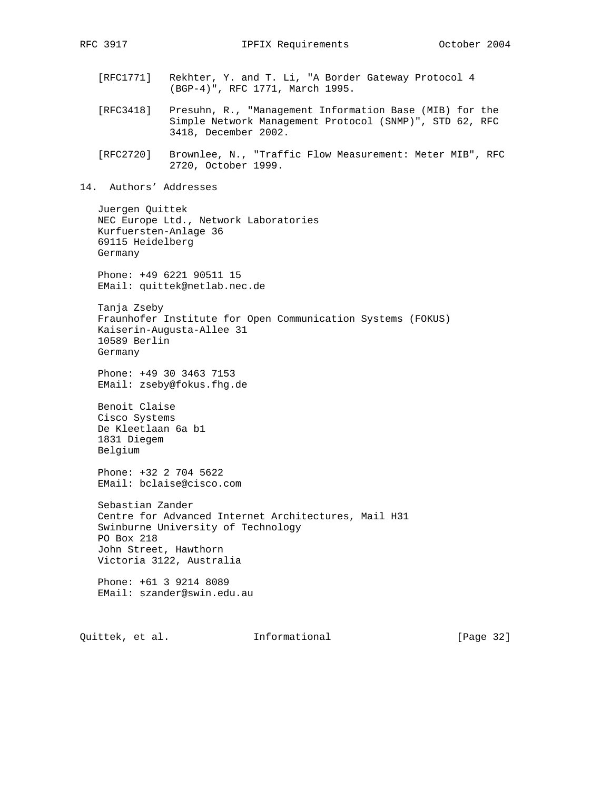- [RFC1771] Rekhter, Y. and T. Li, "A Border Gateway Protocol 4 (BGP-4)", RFC 1771, March 1995.
- [RFC3418] Presuhn, R., "Management Information Base (MIB) for the Simple Network Management Protocol (SNMP)", STD 62, RFC 3418, December 2002.
- [RFC2720] Brownlee, N., "Traffic Flow Measurement: Meter MIB", RFC 2720, October 1999.
- 14. Authors' Addresses

 Juergen Quittek NEC Europe Ltd., Network Laboratories Kurfuersten-Anlage 36 69115 Heidelberg Germany

 Phone: +49 6221 90511 15 EMail: quittek@netlab.nec.de

 Tanja Zseby Fraunhofer Institute for Open Communication Systems (FOKUS) Kaiserin-Augusta-Allee 31 10589 Berlin Germany

 Phone: +49 30 3463 7153 EMail: zseby@fokus.fhg.de

 Benoit Claise Cisco Systems De Kleetlaan 6a b1 1831 Diegem Belgium

 Phone: +32 2 704 5622 EMail: bclaise@cisco.com

 Sebastian Zander Centre for Advanced Internet Architectures, Mail H31 Swinburne University of Technology PO Box 218 John Street, Hawthorn Victoria 3122, Australia

 Phone: +61 3 9214 8089 EMail: szander@swin.edu.au

Quittek, et al. 1nformational [Page 32]